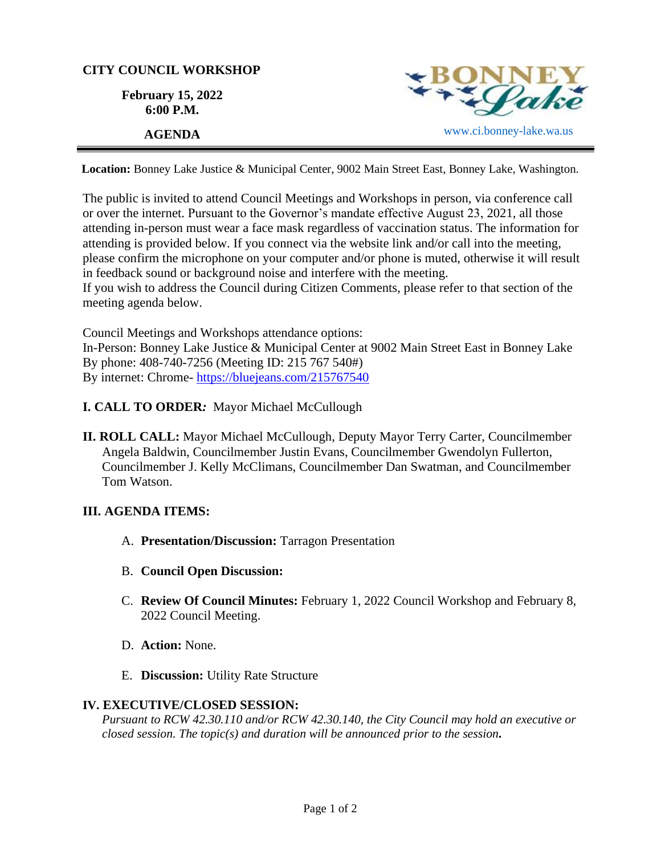## **CITY COUNCIL WORKSHOP**

**February 15, 2022 6:00 P.M.**



**Location:** Bonney Lake Justice & Municipal Center, 9002 Main Street East, Bonney Lake, Washington.

The public is invited to attend Council Meetings and Workshops in person, via conference call or over the internet. Pursuant to the Governor's mandate effective August 23, 2021, all those attending in-person must wear a face mask regardless of vaccination status. The information for attending is provided below. If you connect via the website link and/or call into the meeting, please confirm the microphone on your computer and/or phone is muted, otherwise it will result in feedback sound or background noise and interfere with the meeting.

If you wish to address the Council during Citizen Comments, please refer to that section of the meeting agenda below.

Council Meetings and Workshops attendance options: In-Person: Bonney Lake Justice & Municipal Center at 9002 Main Street East in Bonney Lake By phone: 408-740-7256 (Meeting ID: 215 767 540#) By internet: Chrome- [https://bluejeans.com/215767540](https://bluejeans.com/215767540?src=calendarLink&flow=joinmeeting)

- **I. CALL TO ORDER***:* Mayor Michael McCullough
- **II. ROLL CALL:** Mayor Michael McCullough, Deputy Mayor Terry Carter, Councilmember Angela Baldwin, Councilmember Justin Evans, Councilmember Gwendolyn Fullerton, Councilmember J. Kelly McClimans, Councilmember Dan Swatman, and Councilmember Tom Watson.

## **III. AGENDA ITEMS:**

- A. **Presentation/Discussion:** Tarragon Presentation
- B. **Council Open Discussion:**
- C. **Review Of Council Minutes:** February 1, 2022 Council Workshop and February 8, 2022 Council Meeting.
- D. **Action:** None.
- E. **Discussion:** Utility Rate Structure

## **IV. EXECUTIVE/CLOSED SESSION:**

*Pursuant to RCW 42.30.110 and/or RCW 42.30.140, the City Council may hold an executive or closed session. The topic(s) and duration will be announced prior to the session.*